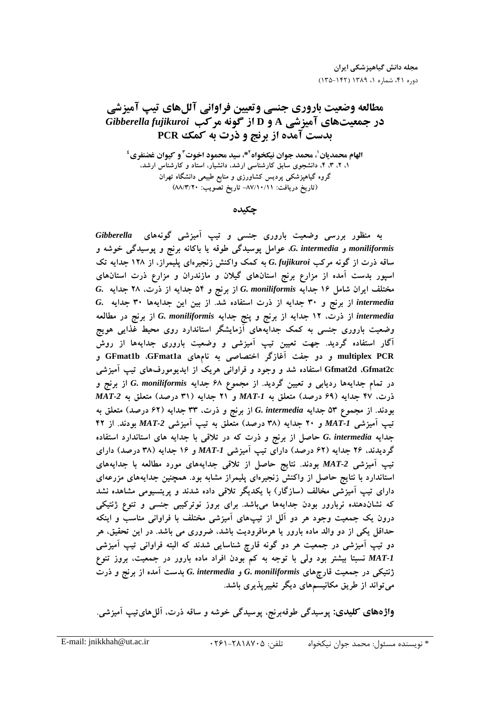# مطالعه وضعيت باروري جنسي وتعيين فراواني آللهاي تيپ آميزشي در جمعیتهای آمیزشی A و D از گونه مرکب Gibberella fujikuroi بدست آمده از برنج و ذرت به کمک PCR

الهام محمدیان ٰ، محمد جوان نیکخواه<sup>۲</sup>\*، سید محمود اخوت<sup>۳</sup> و کیوان غضنفری ٔ ۱، ۲، ۳، ۴، دانشجوی سابق کارشناسی ارشد، دانشیار، استاد و کارشناس ارشد، گروه گیاهپزشکی پردیس کشاورزی و منابع طبیعی دانشگاه تهران (تاريخ دريافت: ٨٧/١٠/١١/- تاريخ تصويب: ٨٨/٣/٢٠)

جكىدە

به منظور بررسی وضعیت باروری جنسی و تیپ آمیزشی گونههای Gibberella moniliformis و G. intermedia، عوامل پوسیدگی طوقه یا باکانه برنج و پوسیدگی خوشه و ساقه ذرت از گونه مرکب G. fujikuroi به کمک واکنش زنجیرهای پلیمراز، از ۱۲۸ جدایه تک اسپور بدست آمده از مزارع برنج استانهای گیلان و مازندران و مزارع ذرت استانهای G. moniliformis 4) از برنج و ۵۴ جدایه G. moniliformis از برنج و ۵۴ جدایه (۲۸ جدایه G. از برنج و ۳۰ جدایه از ذرت استفاده شد. از بین این جدایهها ۳۰ جدایه G. intermedia از ذرت، ۱۲ جدایه از برنج و پنج جدایه G. moniliformis از برنج در مطالعه وضعیت باروری جنسی به کمک جدایههای اَزمایشگر استاندارد روی محیط غذایی هویج آگار استفاده گردید. جهت تعیین تیپ آمیزشی و وضعیت باروری جدایهها از روش multiplex PCR و دو جفت آغازگر اختصاصی به نامهای GFmat1a ،GFmat1a و Gfmat2d ،Gfmat2c استفاده شد و وجود و فراوانی هریک از ایدیومورفهای تیپ آمیزشی در تمام جدایهها ردیابی و تعیین گردید. از مجموع ۶۸ جدایه G. moniliformis از برنج و ذرت، ۴۷ جدایه (۶۹ درصد) متعلق به MAT-1 و ۲۱ جدایه (۳۱ درصد) متعلق به MAT-2 بودند. از مجموع ۵۳ جدایه G. intermedia از برنج و ذرت، ۳۳ جدایه (۶۲ درصد) متعلق به تیپ اَمیزشی MAT-1 و ۲۰ جدایه (۳۸ درصد) متعلق به تیپ اَمیزشی MAT-2 بودند. از ۴۲ جدایه G. intermedia حاصل از برنج و ذرت که در تلاقی با جدایه های استاندارد استفاده گردیدند، ۲۶ جدایه (۶۲ درصد) دارای تیپ آمیزشی MAT-1 و ۱۶ جدایه (۳۸ درصد) دارای تیب آمیزشی MAT-2 بودند. نتایج حاصل از تلاقی جدایههای مورد مطالعه با جدایههای استاندارد با نتایج حاصل از واکنش زنجیرهای پلیمراز مشابه بود. همچنین جدایههای مزرعهای دارای تیپ آمیزشی مخالف (سازگار) با یکدیگر تلاقی داده شدند و پریتسیومی مشاهده نشد که نشاندهنده نربارور بودن جدایهها میباشد. برای بروز نوترکیبی جنسی و تنوع ژنتیکی درون یک جمعیت وجود هر دو آلل از تیپهای اَمیزشی مختلف با فراوانی مناسب و اینکه حداقل یکی از دو والد ماده بارور یا هرمافرودیت باشد، ضروری می باشد. در این تحقیق، هر دو تیپ اَمیزشی در جمعیت هر دو گونه قارچ شناسایی شدند که البته فراوانی تیپ اَمیزشی MAT-1 نسبتا بیشتر بود ولی با توجه به کم بودن افراد ماده بارور در جمعیت، بروز تنوع ژنتیکی در جمعیت قارچهای G. moniliformis و G. intermedia بدست آمده از برنج و ذرت می تواند از طریق مکانیسمهای دیگر تغییرپذیری باشد.

واژههای کلیدی: پوسیدگی طوقهبرنج، پوسیدگی خوشه و ساقه ذرت، اَللهایتیپ اَمیزشی.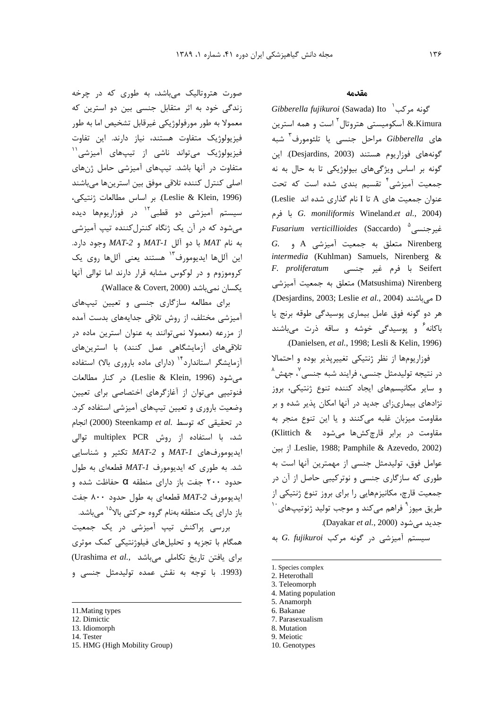صورت هتروتالیک مے باشد، به طوری که در چرخه زندگی خود به اثر متقابل جنسی بین دو استرین که معمولا به طور مورفولوژيکي غيرقابل تشخيص اما به طور فيزيولوژيک متفاوت هستند، نياز دارند. اين تفاوت فیزیولوژیک میتواند ناشی از تیبهای آمیزشی.'' متفاوت در آنها باشد. تیپهای آمیزشی حامل ژنهای اصلي كنترل كننده تلاقي موفق بين استرينها مي باشند (Leslie & Klein, 1996). بر اساس مطالعات ژنتیکی، سیستم آمیزشی دو قطبی<sup>۱۲</sup> در فوزاریومها دیده می شود که در آن یک ژنگاه کنترل کننده تیپ آمیزشی به نام MAT با دو آلل MAT-1 و MAT-2 وجود دارد. اين آللها ايديومورف<sup>١٣</sup> هستند يعني آللها روى يک کروموزوم و در لوکوس مشابه قرار دارند اما توالی آنها يكسان نمى باشد (Wallace & Covert, 2000).

برای مطالعه سازگاری جنسی و تعیین تیپهای آمیزشی مختلف، از روش تلاقی جدایههای بدست آمده از مزرعه (معمولا نمی توانند به عنوان استرین ماده در تلاقی،های آزمایشگاهی عمل کنند) با استرین،های آزمایشگر استاندارد<sup>۱۴</sup> (دارای ماده باروری بالا) استفاده مي شود (Leslie & Klein, 1996). در كنار مطالعات فنوتییی می توان از آغازگرهای اختصاصی برای تعیین وضعیت باروری و تعیین تیپهای آمیزشی استفاده کرد. در تحقیقی که توسط .Steenkamp et al (2000) انجام شد، با استفاده از روش multiplex PCR توالی ایدیومورفهای MAT-2 و MAT-2 تکثیر و شناسایی شد. به طوری که ایدیومورف MAT-1 قطعهای به طول حدود ۲۰۰ جفت باز دارای منطقه Q حفاظت شده و ایدیومورف MAT-2 قطعهای به طول حدود ۸۰۰ جفت باز دارای یک منطقه بهنام گروه حرکتی بالا<sup>۱۵</sup> میباشد. بررسی پراکنش تیپ آمیزشی در یک جمعیت

همگام با تجزیه و تحلیلهای فیلوژنتیکی کمک موثری برای یافتن تاریخ تکاملی میباشد ..Urashima et al (1993. با توجه به نقش عمده توليدمثل جنسى و

#### مقدمه

Gibberella fujikuroi (Sawada) Ito کونه مرکب &.Kimura آسکومیستی هتروتال<sup>۲</sup> است و همه استرین های Gibberella مراحل جنسی یا تلئومورف<sup>۳</sup> شبه گونههای فوزاریوم هستند (Desjardins, 2003). این گونه بر اساس ویژگیهای بیولوژیکی تا به حال به نه جمعیت آمیزشی<sup>۴</sup> تقسیم بندی شده است که تحت عنوان جمعیت های A تا I نام گذاری شده اند Leslie) با فرم G. moniliformis Wineland.et al., 2004) غيد حنسي ° Fusarium verticillioides (Saccardo) Nirenberg متعلق به جمعیت آمیزشی A و  $G$ . intermedia (Kuhlman) Samuels, Nirenberg & F. proliferatum Seifert با فرم غیر جنسی Matsushima) Nirenberg) متعلق به جمعیت آمیزشی .(Desjardins, 2003; Leslie et al., 2004). D هر دو گونه فوق عامل بیماری پوسیدگی طوقه برنج یا باکانه<sup>۶</sup> و یوسید*گی* خوشه و ساقه ذرت میباشند .(Danielsen, et al., 1998; Lesli & Kelin, 1996).

فوزاريومها از نظر ژنتيكي تغييريذير بوده و احتمالا در نتيجه توليدمثل جنسي، فرايند شبه جنسي"، جهش<sup>^</sup> و سایر مکانیسمهای ایجاد کننده تنوع ژنتیکی، بروز نژادهای بیماریزای جدید در آنها امکان پذیر شده و بر مقاومت میزبان غلبه میکنند و یا این تنوع منجر به مقاومت در برابر قارچ کشها می شود Klittich & از بین Leslie, 1988; Pamphile & Azevedo, 2002) عوامل فوق، تولیدمثل جنسی از مهمترین آنها است به طوری که سازگاری جنسی و نوترکیبی حاصل از آن در جمعیت قارچ، مکانیزمهایی را برای بروز تنوع ژنتیکی از طریق میوز<sup>۹</sup> فراهم میکند و موجب تولید ژنوتیپهای ٔ جدید مے شود (Dayakar et al., 2000).

سیستم آمیزشی در گونه مرکب G. fujikuroi به

1. Species complex

- 5. Anamorph
- 6. Bakanae
- 7. Parasexualism
- 8. Mutation
- 9. Meiotic

<sup>11.</sup> Mating types

<sup>12.</sup> Dimictic

<sup>13.</sup> Idiomorph

<sup>14.</sup> Tester

<sup>15.</sup> HMG (High Mobility Group)

<sup>2.</sup> Heterothall

<sup>3.</sup> Teleomorph

<sup>4.</sup> Mating population

<sup>10.</sup> Genotypes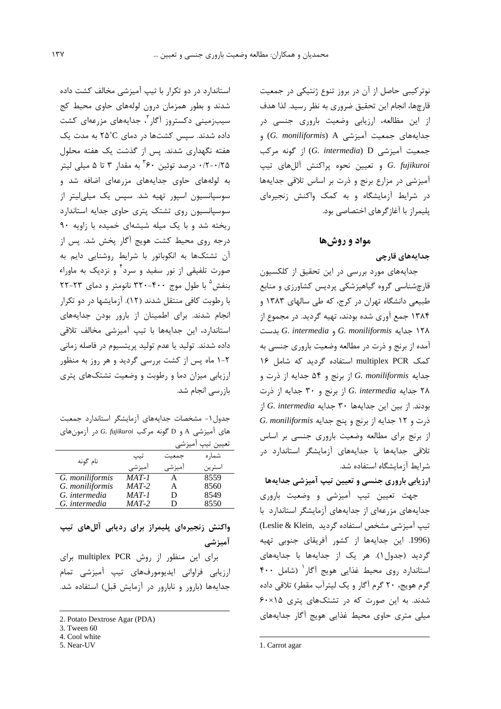نوترکیبی حاصل از آن در بروز تنوع ژنتیکی در جمعیت قارچها، انجام این تحقیق ضروری به نظر رسید. لذا هدف از این مظالعه، ارزیابی وضعیت باروری جنسی در جدایههای جمعیت آمیزشی G. moniliformis) A و جمعیت آمیزشی G. intermedia) D) از گونه مرکب و تعیین نحوه پراکنش آللهای تیپ G. fujikuroi آمیزشی در مزارع برنج و ذرت بر اساس تلاقی جدایهها در شرایط آزمایشگاه و به کمک واکنش زنجیرهای یلیمراز با آغاز گرهای اختصاصی بود.

#### مواد و روشها

### جدایههای قارچی

جدایههای مورد بررسی در این تحقیق از کلکسیون قارچشناسی گروه گیاهپزشکی پردیس کشاورزی و منابع طبیعی دانشگاه تهران در کرج، که طی سالهای ۱۳۸۳ و ۱۳۸۴ جمع آوری شده بودند، تهیه گردید. در مجموع از G. intermedia , G. moniliformis بدست آمده از برنج و ذرت در مطالعه وضعیت باروری جنسی به کمک multiplex PCR استفاده گردید که شامل ١۶ جدايه G. moniliformis از برنج و ۵۴ جدايه از ذرت و از برنج و ۳۰ جدایه G. intermedia از برنج و ۳۰ جدایه از ذرت بودند. از بين اين جدايهها ٣٠ جدايه G. intermedia از G. moniliformis ذرت و ١٢ جدايه از برنج و پنج جدايه از برنج برای مطالعه وضعیت باروری جنسی بر اساس تلاقی جدایهها با جدایههای آزمایشگر استاندارد در شرايط آزمايشگاه استفاده شد.

### ارزیابی باروری جنسی و تعیین تیپ آمیزشی جدایهها

جهت تعیین تیپ آمیزشی و وضعیت باروری جدایههای مزرعهای از جدایههای آزمایشگر استاندارد با تيب آميزشي مشخص استفاده كرديد ,Leslie & Klein) (1996. این جدایهها از کشور آفریقای جنوبی تهیه گردید (جدول ۱). هر یک از جدایهها با جدایههای استاندارد روی محیط غذایی هویج آگار<sup>۱</sup> (شامل ۴۰۰ گرم هویج، ۲۰ گرم آگار و یک لیترآب مقطر) تلاقی داده شدند. به این صورت که در تشتکهای پتری ۶۰×۶۰ میلی متری حاوی محیط غذایی هویج آگار جدایههای

استاندارد در دو تکرار با تیپ آمیزشی مخالف کشت داده شدند و بطور همزمان درون لولههای حاوی محیط کج سیب;مینی دکستروز آگار<sup>۲</sup>، جدایههای مزرعهای کشت داده شدند. سیس کشتها در دمای ٢۵°C به مدت یک هفته نگهداری شدند. پس از گذشت یک هفته محلول ۰/۲-۰/۲۵ درصد توئین ۶۰<sup>۰ </sup>به مقدار ۳ تا ۵ میلی لیتر به لولههای حاوی جدایههای مزرعهای اضافه شد و سوسپانسیون اسپور تهیه شد. سپس یک میلی لیتر از سوسپانسیون روی تشتک پتری حاوی جدایه استاندارد ریخته شد و با یک میله شیشهای خمیده با زاویه ۹۰ درجه روی محیط کشت هویج آگار پخش شد. پس از آن تشتکها به انکوباتور با شرایط روشنایی دایم به صورت تلفیقی از نور سفید و سرد ٔ و نزدیک به ماوراء بنفش <sup>۵</sup> با طول موج ۴۰۰-۳۲۰ نانومتر و دمای ۲۳-۲۲ با رطوبت کافی منتقل شدند (۱۲). آزمایشها در دو تکرار انجام شدند. برای اطمینان از بارور بودن جدایههای استاندارد، این جدایهها با تیپ آمیزشی مخالف تلاقی داده شدند. تولید یا عدم تولید پریتسیوم در فاصله زمانی ۲-۱ ماه پس از کشت بررسی گردید و هر روز به منظور ارزیابی میزان دما و رطوبت و وضعیت تشتکهای پتری بازرسی انجام شد.

جدول ۱- مشخصات جدایههای آزمایشگر استاندارد جمعبت های آمیزشی A و D گونه مرکب G. fujikuroi در آزمونهای تعیین تیپ امیزشی

| نام گونه        | تيپ       | حمعت   | شمار ہ |
|-----------------|-----------|--------|--------|
|                 | آمیزشی    | أميزشى | استرين |
| G. moniliformis | $MAT - I$ | А      | 8559   |
| G. moniliformis | $MAT-2$   | A      | 8560   |
| G. intermedia   | $MAT-1$   | D      | 8549   |
| G. intermedia   | $MAT-2$   | Ð      | 8550   |

# واکنش زنجیرهای پلیمراز برای ردیابی آللهای تیپ آمیزشی

برای این منظور از روش multiplex PCR برای ارزیابی فراوانی ایدیومورفهای تیپ آمیزشی تمام جدایهها (بارور و نابارور در آزمایش قبل) استفاده شد.

<sup>2.</sup> Potato Dextrose Agar (PDA)

<sup>3.</sup> Tween 60

<sup>4.</sup> Cool white

<sup>5.</sup> Near-UV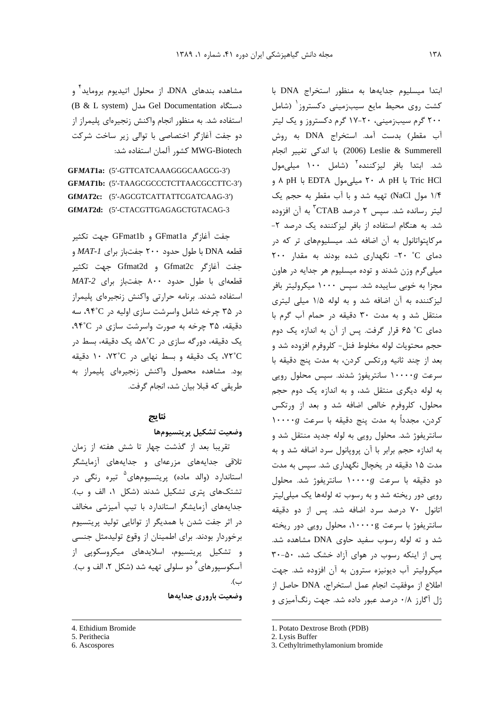ابتدا ميسليوم جدايهها به منظور استخراج DNA با کشت روی محیط مایع سیبزمینی دکستروز ` (شامل ۲۰۰ گرم سیبزمینی، ۲۰-۱۷ گرم دکستروز و یک لیتر آب مقطر) بدست آمد. استخراج DNA به روش 2006) Leslie & Summerell) با اندکی تغییر انجام شد. ابتدا بافر لیزکننده<sup>۲</sup> (شامل ۱۰۰ میلی،مول Tric HCl با HP ، ^ ، ^ ميلي،مول EDTA با A pH ، ۱/۴ مول NaCl) تهيه شد و با آب مقطر به حجم يک ليتر رسانده شد. سيس ٢ درصد CTAB<sup>٣</sup> به آن افزوده شد. به هنگام استفاده از بافر لیزکننده یک درصد ۲-مرکایتواتانول به آن اضافه شد. میسلیومهای تر که در .<br>ن دمای C° ۲۰- نگهدا<sub>د</sub>ی شده بودند به مقدا<sub>د</sub> ۲۰۰ ميلي گرم وزن شدند و توده ميسليوم هر جدايه در هاون مجزا به خوبی ساییده شد. سیس ۱۰۰۰ میکرولیتر بافر لیز کننده به آن اضافه شد و به لوله ۱/۵ میلی لیتری منتقل شد و به مدت ٣٠ دقيقه در حمام آب گرم با دمای C° ۶۵ قرار گرفت. پس از آن به اندازه یک دوم حجم محتويات لوله مخلوط فنل- كلروفرم افزوده شد و بعد از چند ثانيه ورتكس كردن، به مدت پنج دقيقه با سرعت ۱۰۰۰۰ سانتریفوژ شدند. سیس محلول رویی به لوله دیگری منتقل شد، و به اندازه یک دوم حجم محلول، کلروفرم خالص اضافه شد و بعد از ورتکس کردن، مجدداً به مدت ینج دقیقه با سرعت ۱۰۰۰۰*g* سانتریفوژ شد. محلول رویی به لوله جدید منتقل شد و به اندازه حجم برابر با آن پرویانول سرد اضافه شد و به ; مدت ۱۵ دقیقه در یخچال نگهداری شد. سیس به مدت دو دقیقه با سرع*ت ۱۰۰۰۰g س*انتریفوژ شد. محلول رویی دور ریخته شد و به رسوب ته لولهها یک میلی لیتر اتانول ۷۰ درصد سرد اضافه شد. پس از دو دقیقه ; سانتریفوژ با سرعت ۱۰۰۰۰g، محلول رویی دور ریخته شد و ته لوله رسوب سفید حاوی DNA مشاهده شد. یس از اینکه رسوب در هوای آزاد خشک شد، ۵۰-۳۰ میکرولیتر آب دیونیزه سترون به آن افزوده شد. جهت اطلاع از موفقيت انجام عمل استخراج، DNA حاصل از ژل آگارز ۰/۸ درصد عبور داده شد. جهت رنگآمیزی و

مشاهده بندهای DNA، از محلول اتیدیوم بروماید<sup>۴</sup> و (B & L system) مدل Gel Documentation s استفاده شد. به منظور انجام واکنش زنجیرهای پلیمراز از دو جفت آغازگر اختصاصی با توالی زیر ساخت شرکت MWG-Biotech كشور آلمان استفاده شد:

**GF***MAT***1a:** (5′-GTTCATCAAAGGGCAAGCG-3′) **GF***MAT***1b:** (5′-TAAGCGCCCTCTTAACGCCTTC-3′) **Gf***MAT***2c:** (5′-AGCGTCATTATTCGATCAAG-3′) **Gf***MAT***2d:** (5′-CTACGTTGAGAGCTGTACAG-3

جفت آغازگر GFmat1b و GFmat1b جهت تكثير  $MAT-I$  با طول حدود ۲۰۰ جفتباز برای 1-MAT و جفت آغازگر Gfmat2d و Gfmat2d جهت تكثير قطعهای با طول حدود ۸۰۰ جفتباز برای *MAT-2* استفاده شدند. برنامه حرارتی واکنش زنجیرهای پلیمراز  $\sim$  ۲۵ جرخه شامل واسرشت سازی اولیه در ۴°۰۲، سه دقیقه، ۳۵ چرخه به صورت واسرشت سازی در ۹۴°C. یک دقیقه، دورگه سازی در ۵۸°C، یک دقیقه، بسط در ۷۳°C، یک دقیقه و بسط نهایی در ۷۲°C، ۱۰ دقیقه ود. مشاهده محصول واکنش زنجیرهای پلیمراز به 9 طريقي كه قبلا بيان شد، انجام گرفت.

### نتايج

#### وضعيت تشكيل يريتسيومها

تقریبا بعد از گذشت چهار تا شش هفته از زمان تلاقی جدایههای مزرعهای و جدایههای آزمایشگر استاندارد (والد ماده) <u>بری</u>تسیومهای<sup>۵</sup> تیره رنگی در تشتکهای پتری تشکیل شدند (شکل ۱، الف و ب). جدایههای آزمایشگر استاندارد با تیپ آمیزشی مخالف در اثر جفت شدن با همدیگر از توانایی تولید پریتسیوم برخوردار بودند. برای اطمینان از وقوع تولیدمثل جنسی و تشکیل پریتسیوم، اسلایدهای میکروسکویی از .<br>آسکوسیورهای <sup>۶</sup> دو سلولی تهیه شد (شکل ۲، الف و ب). .({

وضعيت باروري جدايهها

-

 $\overline{a}$ 

<sup>4.</sup> Ethidium Bromide

<sup>5.</sup> Perithecia

<sup>6.</sup> Ascospores

<sup>1.</sup> Potato Dextrose Broth (PDB)

<sup>2.</sup> Lysis Buffer

<sup>3.</sup> Cethyltrimethylamonium bromide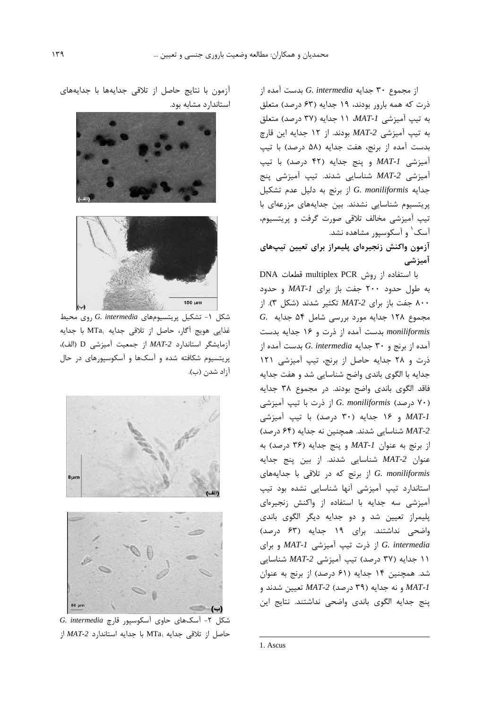از مجموع ۳۰ جدایه G. intermedia بدست آمده از ذرت که همه بارور بودند، ۱۹ جدایه (۶۳ درصد) متعلق به تيپ آميزشي MAT-1، ١١ جدايه (٣٧ درصد) متعلق به تيپ آميزشي MAT-2 بودند. از ١٢ جدايه اين قارچ بدست آمده از برنج، هفت جدایه (۵۸ درصد) با تیپ آميزشي MAT-1 وينج جدايه (۴۲ درصد) با تيب آمیزشی MAT-2 شناسایی شدند. تیپ آمیزشی پنج  $G.$  moniliformis أز برنج به دليل عدم تشكيل پریتسیوم شناسایی نشدند. بین جدایههای مزرعهای با تیپ آمیزشی مخالف تلاقی صورت گرفت و پریتسیوم، آسک<sup>۱</sup> و آسکوسپور مشاهده نشد.

# آزمون واكنش زنجيرهاي پليمراز براي تعيين تيپهاي آمیزشی

با استفاده از روش multiplex PCR قطعات DNA به طول حدود ٢٠٠ جفت باز براى MAT-1 و حدود ۸۰۰ جفت باز برای MAT-2 تکثیر شدند (شکل ۳). از G. مجموع ۱۲۸ جدایه مورد بررسی شامل ۵۴ جدایه moniliformis بدست آمده از ذرت و ۱۶ جدایه بدست آمده از برنج و ۳۰ جدایه G. intermedia بدست آمده از ذرت و ٢٨ جدايه حاصل از برنج، تيپ آميزشي ١٢١ جدایه با الگوی باندی واضح شناسایی شد و هفت جدایه فاقد الگوی باندی واضح بودند. در مجموع ۳۸ جدایه از ذرت با تیپ آمیزشی G. moniliformis (درصد) ۷۰) MAT-1 و ١۶ جدايه (٣٠ درصد) با تيپ آميزشي MAT-2 شناسایی شدند. همچنین نه جدایه (۶۴ درصد) از برنج به عنوان MAT-1 و پنج جدایه (۳۶ درصد) به عنوان MAT-2 شناسايي شدند. از بين پنج جدايه از برنج که در تلاقی با جدایههای ا $G.$  moniliformis استاندارد تیپ آمیزشی آنها شناسایی نشده بود تیپ آمیزشی سه جدایه با استفاده از واکنش زنجیرهای پلیمراز تعیین شد و دو جدایه دیگر الگوی باندی واضحی نداشتند. برای ۱۹ جدایه (۶۳ درصد) G. intermedia از ذرت تیپ آمیزشی MAT-1 و برای ١١ جدايه (٣٧ درصد) تيب آميزشي MAT-2 شناسايي شد. همچنین ۱۴ جدایه (۶۱ درصد) از برنج به عنوان و نه جدایه (۳۹ درصد) MAT-2 تعیین شدند و MAT-2 ينج جدايه الگوى باندى واضحى نداشتند. نتايج اين

آزمون با نتايج حاصل از تلاقى جدايهها با جدايههاى استاندارد مشابه بود.



شکل ۱- تشکیل پریتسیومهای G. intermedia روی محیط غذایی هویج آگار، حاصل از تلاقی جدایه MTa, با جدایه آزمايشكر استاندارد MAT-2 از جمعيت آميزشي D (الف)، پریتسیوم شکافته شده و آسکها و آسکوسپورهای در حال آزاد شدن (ب).



شکل ۲- آسکهای حاوی آسکوسپور قارچ G. intermedia حاصل از تلاقی جدایه MTa با جدایه استاندارد MAT-2 از

1. Ascus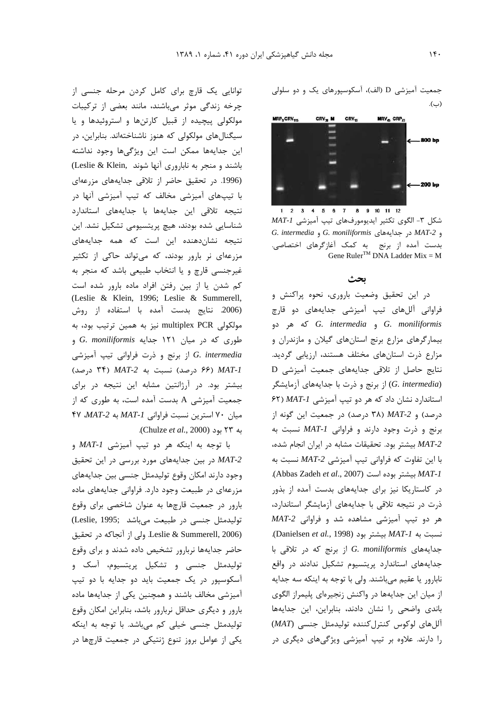جمعیت آمیزشی D (الف)، آسکوسپورهای یک و دو سلولی (ب).



1 2 3 4 5 6 7 8 9 10 11 12 شکل ۳- الگوی تکثیر ایدیومورفهای تیپ آمیزشی *MAT-1 G. intermedia G. moniliformis* &
!% *MAT-2* بدست آمده از برنج به کمک آغازگرهای اختصاصی. Gene Ruler<sup>TM</sup> DNA Ladder Mix = M

#### بحث

در این تحقیق وضعیت باروری، نحوه پراکنش و فراوانی آللهای تیپ آمیزشی جدایههای دو قارچ &M "( #! *G. intermedia* & *G. moniliformis* بیمار گرهای مزارع برنج استانهای گیلان و مازندران و مزارع ذرت استانهای مختلف هستند، ارزیابی گردید. نتایج حاصل از تلاقی جدایههای جمعیت آمیزشی D (*G. intermedia*) از برنج و ذرت با جدایههای آزمایشگر استاندارد نشان داد که هر دو تیپ آمیزش*ی MAT-1* (۶۲ د<sub>ا</sub>صد) و MAT-2 (۳۸ درصد) در جمعیت این گونه از برنج و ذرت وجود دارند و فراوانی MAT-1 نسبت به .<br>2-MAT بيشتر بود. تحقيقات مشابه در ايران انجام شده، با این تفاوت که فراوانی تیپ آمیزشی MAT-2 نسبت به .(Abbas Zadeh et al., 2007) بيشتر بوده است. در کاستاریکا نیز برای جدایههای بدست آمده از بذور ذرت در نتیجه تلاقی با جدایههای آزمایشگر استاندارد، هر دو تیپ آمیزشی مشاهده شد و فراوانی MAT-2 نسبت به MAT-1 بيشتر بود (Danielsen et al., 1998). جدایههای G. moniliformis از برنج که در تلاقی با جدایههای استاندارد پریتسیوم تشکیل ندادند در واقع نابارور یا عقیم می باشند. ولی با توجه به اینکه سه جدایه از میان این جدایهها در واکنش زنجیرهای پلیمراز الگوی باندی واضحی را نشان دادند، بنابراین، این جدایهها .<br>آللهای لوکوس کنترلکننده تولیدمثل جنسی *(MAT*) را دارند. علاوه بر تیپ آمیزشی ویژگی های دیگری در

توانایی یک قارچ برای کامل کردن مرحله جنسی از چرخه زندگی موثر میباشند، مانند بعضی از ترکیبات مولکولی پیچیده از قبیل کارتنها و استروئیدها و پا سیگنال های مولکولی که هنوز ناشناختهاند. بنابراین، در این جدایهها ممکن است این ویژگیها وجود نداشته باشند و منجر به ناباروری آنها شوند (Leslie & Klein .1996. در تحقيق حاضر از تلاقى جدايههاى مزرعهاى با تیپهای آمیزشی مخالف که تیپ آمیزشی آنها د<sub>ر</sub> نتیجه تلاقی این جدایهها با جدایههای استاندارد شناسایی شده بودند، هیچ پریتسیومی تشکیل نشد. این نتیجه نشاندهنده این است که همه جدایههای مزرعهای نر بارور بودند، که می تواند حاکی از تکثیر غیرجنسی قارچ و یا انتخاب طبیعی باشد که منجر به كم شدن يا از بين رفتن افراد ماده بارور شده است (Leslie & Klein, 1996; Leslie & Summerell, .<br>(2006. نتايج بدست آمده با استفاده از روش مولکولی multiplex PCR نیز به همین ترتیب بود، به طوری که در میان ۱۲۱ جدایه *G. moniliformis* و )4?, \ ) &"7 O0P & H "9 6 *G. intermedia* (۶۶ درصد) نسبت به MAT-2 (۲۴ درصد) بیشتر بود. در آرژانتین مشابه این نتیجه در برای جمعیت آمیزشی A بدست آمده است، به طوری که از میان ۷۰ استرین نسبت فراوانی MAT-1 به MAT-2 **MAT** به ۲۳ بود (Chulze *et al*., 2000).

با توجه به اینکه هر دو تیپ آمیزشی *MAT-1* و قر بین جدایههای مورد بررسی در این تحقیق MAT-2 وجود دارند امكان وقوع توليدمثل جنسى بين جدايههاى مزرعهای در طبیعت وجود دارد. فراوانی جدایههای ماده بارور در جمعیت قارچها به عنوان شاخصی برای وقوع توليدمثل جنسي در طبيعت مي باشد (Leslie, 1995; Leslie & Summerell, 2006). ولي از آنجاكه در تحقيق حاضر جدایهها نربارور تشخیص داده شدند و برای وقوع تولیدمثل جنسی و تشکیل پریتسیوم، آسک و آسکوسیور در یک جمعیت باید دو جدایه با دو تیپ آمیزشی مخالف باشند و همچنین یکی از جدایهها ماده بارور و دیگری حداقل نربارور باشد، بنابراین امکان وقوع توليدمثل جنسي خيلي كم مي باشد. با توجه به اينكه یکی از عوامل بروز تنوع ژنتیکی در جمعیت قارچها در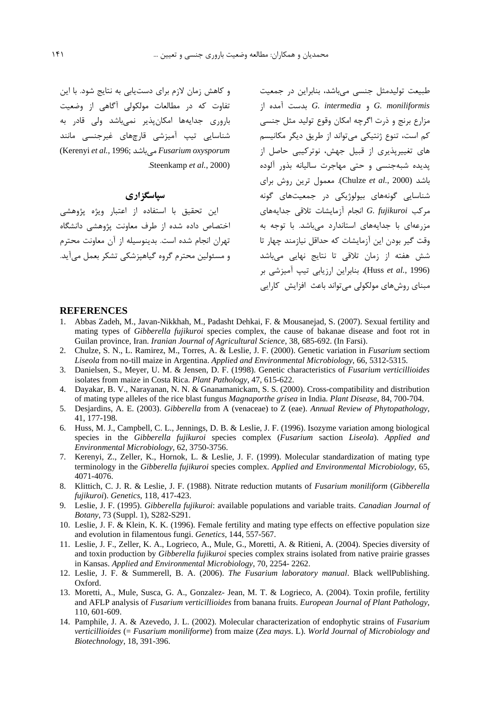و کاهش زمان لازم برای دست یابی به نتایج شود. با این تفاوت که در مطالعات مولکولی آگاهی از وضعیت باروري جدايهها امكان يذير نمي باشد ولي قادر به شناسایی تیپ آمیزشی قارچهای غیرجنسی مانند (Kerenyi et al., 1996; می باشد Fusarium oxysporum Steenkamp et al., 2000).

## سیاسگز اری

این تحقیق با استفاده از اعتبار ویژه پژوهشی اختصاص داده شده از طرف معاونت پژوهشی دانشگاه تهران انجام شده است. بدینوسیله از آن معاونت محترم و مسئولین محترم گروه گیاهیزشکی تشکر بعمل می آید.

طبیعت تولیدمثل جنسی می،باشد، بنابراین در جمعیت G. moniliformis و G. intermedia بدست آمده از مزارع برنج و ذرت اگرچه امکان وقوع تولید مثل جنسی کم است، تنوع ژنتیکی می تواند از طریق دیگر مکانیسم های تغییرپذیری از قبیل جهش، نوترکیبی حاصل از يديده شبهجنسي وحتى مهاجرت ساليانه بذور آلوده باشد (Chulze et al., 2000). معمول ترین روش برای شناسایی گونههای بیولوژیکی در جمعیتهای گونه مركب G. fujikuroi انجام آزمايشات تلاقى جدايههاى مزرعهای با جدایههای استاندارد میباشد. با توجه به وقت گیر بودن این آزمایشات که حداقل نیازمند چهار تا شش هفته از زمان تلاقی تا نتایج نهایی می<sub>ا</sub>باشد (Huss et al., 1996)، بنابراین ارزیابی تیپ آمیزشی بر مینای روش های مولکولی می تواند باعث افزایش کارایی

#### **REFERENCES**

- Abbas Zadeh, M., Javan-Nikkhah, M., Padasht Dehkai, F. & Mousanejad, S. (2007). Sexual fertility and  $\mathbf{1}$ . mating types of *Gibberella fujikuroi* species complex, the cause of bakanae disease and foot rot in Guilan province, Iran. Iranian Journal of Agricultural Science, 38, 685-692. (In Farsi).
- Chulze, S. N., L. Ramirez, M., Torres, A. & Leslie, J. F. (2000). Genetic variation in *Fusarium* sectiom  $2^{1}$ Liseola from no-till maize in Argentina. Applied and Environmental Microbiology, 66, 5312-5315.
- 3. Danielsen, S., Meyer, U. M. & Jensen, D. F. (1998). Genetic characteristics of *Fusarium verticillioides* isolates from maize in Costa Rica. Plant Pathology, 47, 615-622.
- 4. Dayakar, B. V., Narayanan, N. N. & Gnanamanickam, S. S. (2000). Cross-compatibility and distribution of mating type alleles of the rice blast fungus *Magnaporthe grisea* in India. *Plant Disease*, 84, 700-704.
- 5. Desjardins, A. E. (2003). Gibberella from A (venaceae) to Z (eae). Annual Review of Phytopathology, 41, 177-198.
- 6. Huss, M. J., Campbell, C. L., Jennings, D. B. & Leslie, J. F. (1996). Isozyme variation among biological species in the Gibberella fujikuroi species complex (Fusarium saction Liseola). Applied and Environmental Microbiology, 62, 3750-3756.
- 7. Kerenyi, Z., Zeller, K., Hornok, L. & Leslie, J. F. (1999). Molecular standardization of mating type terminology in the Gibberella fujikuroi species complex. Applied and Environmental Microbiology, 65, 4071-4076.
- 8. Klittich, C. J. R. & Leslie, J. F. (1988). Nitrate reduction mutants of *Fusarium moniliform* (Gibberella fujikuroi). Genetics, 118, 417-423.
- 9. Leslie, J. F. (1995). Gibberella fujikuroi: available populations and variable traits. Canadian Journal of *Botany*, 73 (Suppl. 1), S282-S291.
- 10. Leslie, J. F. & Klein, K. K. (1996). Female fertility and mating type effects on effective population size and evolution in filamentous fungi. Genetics, 144, 557-567.
- 11. Leslie, J. F., Zeller, K. A., Logrieco, A., Mule, G., Moretti, A. & Ritieni, A. (2004). Species diversity of and toxin production by Gibberella fujikuroi species complex strains isolated from native prairie grasses in Kansas. Applied and Environmental Microbiology, 70, 2254-2262.
- 12. Leslie, J. F. & Summerell, B. A. (2006). The Fusarium laboratory manual. Black wellPublishing. Oxford.
- 13. Moretti, A., Mule, Susca, G. A., Gonzalez- Jean, M. T. & Logrieco, A. (2004). Toxin profile, fertility and AFLP analysis of *Fusarium verticillioides* from banana fruits. *European Journal of Plant Pathology*, 110, 601-609.
- 14. Pamphile, J. A. & Azevedo, J. L. (2002). Molecular characterization of endophytic strains of *Fusarium* verticillioides (= Fusarium moniliforme) from maize (Zea mays. L). World Journal of Microbiology and Biotechnology, 18, 391-396.